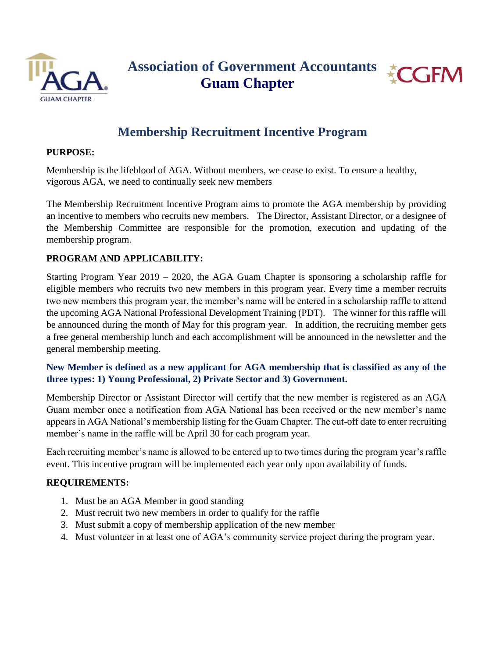



# **Membership Recruitment Incentive Program**

### **PURPOSE:**

Membership is the lifeblood of AGA. Without members, we cease to exist. To ensure a healthy, vigorous AGA, we need to continually seek new members

The Membership Recruitment Incentive Program aims to promote the AGA membership by providing an incentive to members who recruits new members. The Director, Assistant Director, or a designee of the Membership Committee are responsible for the promotion, execution and updating of the membership program.

## **PROGRAM AND APPLICABILITY:**

Starting Program Year 2019 – 2020, the AGA Guam Chapter is sponsoring a scholarship raffle for eligible members who recruits two new members in this program year. Every time a member recruits two new members this program year, the member's name will be entered in a scholarship raffle to attend the upcoming AGA National Professional Development Training (PDT). The winner for this raffle will be announced during the month of May for this program year. In addition, the recruiting member gets a free general membership lunch and each accomplishment will be announced in the newsletter and the general membership meeting.

# **New Member is defined as a new applicant for AGA membership that is classified as any of the three types: 1) Young Professional, 2) Private Sector and 3) Government.**

Membership Director or Assistant Director will certify that the new member is registered as an AGA Guam member once a notification from AGA National has been received or the new member's name appears in AGA National's membership listing for the Guam Chapter. The cut-off date to enter recruiting member's name in the raffle will be April 30 for each program year.

Each recruiting member's name is allowed to be entered up to two times during the program year's raffle event. This incentive program will be implemented each year only upon availability of funds.

### **REQUIREMENTS:**

- 1. Must be an AGA Member in good standing
- 2. Must recruit two new members in order to qualify for the raffle
- 3. Must submit a copy of membership application of the new member
- 4. Must volunteer in at least one of AGA's community service project during the program year.